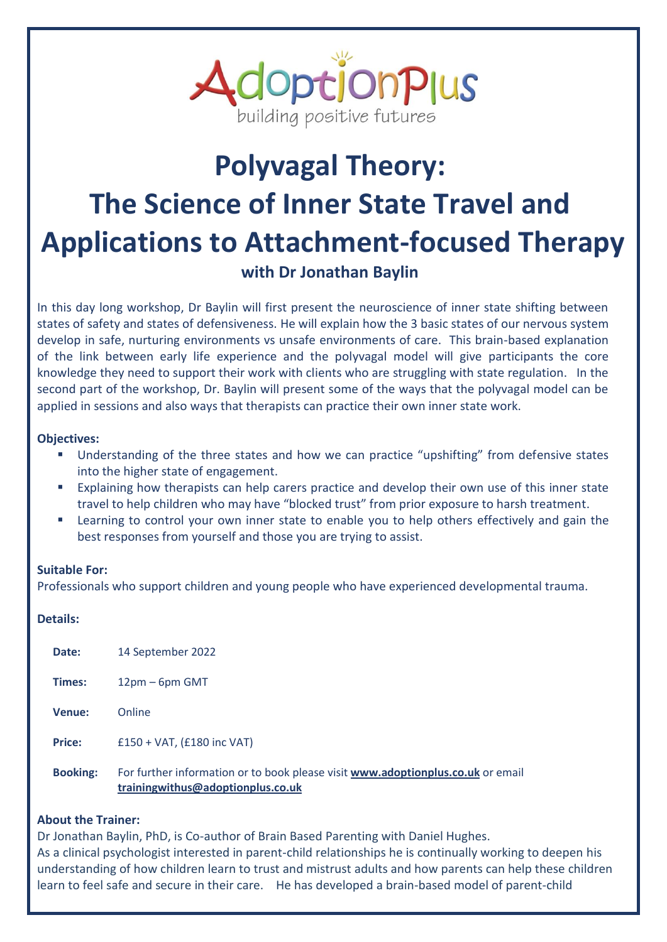

# **Polyvagal Theory: The Science of Inner State Travel and Applications to Attachment-focused Therapy with Dr Jonathan Baylin**

In this day long workshop, Dr Baylin will first present the neuroscience of inner state shifting between states of safety and states of defensiveness. He will explain how the 3 basic states of our nervous system develop in safe, nurturing environments vs unsafe environments of care. This brain-based explanation of the link between early life experience and the polyvagal model will give participants the core knowledge they need to support their work with clients who are struggling with state regulation. In the second part of the workshop, Dr. Baylin will present some of the ways that the polyvagal model can be applied in sessions and also ways that therapists can practice their own inner state work.

# **Objectives:**

- Understanding of the three states and how we can practice "upshifting" from defensive states into the higher state of engagement.
- Explaining how therapists can help carers practice and develop their own use of this inner state travel to help children who may have "blocked trust" from prior exposure to harsh treatment.
- Learning to control your own inner state to enable you to help others effectively and gain the best responses from yourself and those you are trying to assist.

# **Suitable For:**

Professionals who support children and young people who have experienced developmental trauma.

### **Details:**

| Date:           | 14 September 2022                                                                                                    |
|-----------------|----------------------------------------------------------------------------------------------------------------------|
| Times:          | $12pm - 6pm$ GMT                                                                                                     |
| Venue:          | Online                                                                                                               |
| <b>Price:</b>   | $£150 + VAT, (£180$ inc VAT)                                                                                         |
| <b>Booking:</b> | For further information or to book please visit www.adoptionplus.co.uk or email<br>trainingwithus@adoptionplus.co.uk |

# **About the Trainer:**

Dr Jonathan Baylin, PhD, is Co-author of Brain Based Parenting with Daniel Hughes. As a clinical psychologist interested in parent-child relationships he is continually working to deepen his understanding of how children learn to trust and mistrust adults and how parents can help these children learn to feel safe and secure in their care. He has developed a brain-based model of parent-child